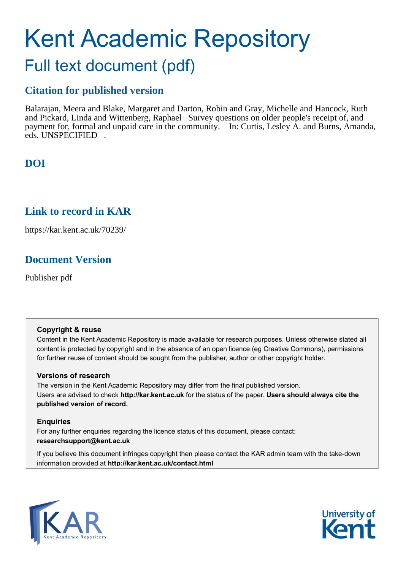# Kent Academic Repository Full text document (pdf)

# **Citation for published version**

Balarajan, Meera and Blake, Margaret and Darton, Robin and Gray, Michelle and Hancock, Ruth and Pickard, Linda and Wittenberg, Raphael Survey questions on older people's receipt of, and payment for, formal and unpaid care in the community. In: Curtis, Lesley A. and Burns, Amanda, eds. UNSPECIFIED .

# **DOI**

# **Link to record in KAR**

https://kar.kent.ac.uk/70239/

# **Document Version**

Publisher pdf

#### **Copyright & reuse**

Content in the Kent Academic Repository is made available for research purposes. Unless otherwise stated all content is protected by copyright and in the absence of an open licence (eg Creative Commons), permissions for further reuse of content should be sought from the publisher, author or other copyright holder.

#### **Versions of research**

The version in the Kent Academic Repository may differ from the final published version. Users are advised to check **http://kar.kent.ac.uk** for the status of the paper. **Users should always cite the published version of record.**

#### **Enquiries**

For any further enquiries regarding the licence status of this document, please contact: **researchsupport@kent.ac.uk**

If you believe this document infringes copyright then please contact the KAR admin team with the take-down information provided at **http://kar.kent.ac.uk/contact.html**



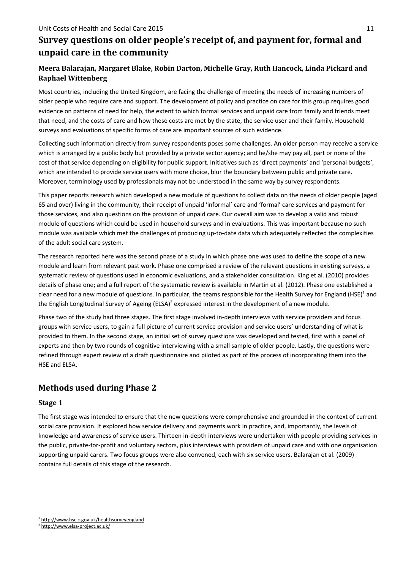## **Survey questions on older people's receipt of, and payment for, formal and unpaid care in the community**

#### **Meera Balarajan, Margaret Blake, Robin Darton, Michelle Gray, Ruth Hancock, Linda Pickard and Raphael Wittenberg**

Most countries, including the United Kingdom, are facing the challenge of meeting the needs of increasing numbers of older people who require care and support. The development of policy and practice on care for this group requires good evidence on patterns of need for help, the extent to which formal services and unpaid care from family and friends meet that need, and the costs of care and how these costs are met by the state, the service user and their family. Household surveys and evaluations of specific forms of care are important sources of such evidence.

Collecting such information directly from survey respondents poses some challenges. An older person may receive a service which is arranged by a public body but provided by a private sector agency; and he/she may pay all, part or none of the cost of that service depending on eligibility for public support. Initiatives such as 'direct payments' and 'personal budgets', which are intended to provide service users with more choice, blur the boundary between public and private care. Moreover, terminology used by professionals may not be understood in the same way by survey respondents.

This paper reports research which developed a new module of questions to collect data on the needs of older people (aged 65 and over) living in the community, their receipt of unpaid 'informal' care and 'formal' care services and payment for those services, and also questions on the provision of unpaid care. Our overall aim was to develop a valid and robust module of questions which could be used in household surveys and in evaluations. This was important because no such module was available which met the challenges of producing up-to-date data which adequately reflected the complexities of the adult social care system.

The research reported here was the second phase of a study in which phase one was used to define the scope of a new module and learn from relevant past work. Phase one comprised a review of the relevant questions in existing surveys, a systematic review of questions used in economic evaluations, and a stakeholder consultation. King et al. (2010) provides details of phase one; and a full report of the systematic review is available in Martin et al. (2012). Phase one established a clear need for a new module of questions. In particular, the teams responsible for the Health Survey for England (HSE)<sup>1</sup> and the English Longitudinal Survey of Ageing (ELSA)<sup>2</sup> expressed interest in the development of a new module.

Phase two of the study had three stages. The first stage involved in-depth interviews with service providers and focus groups with service users, to gain a full picture of current service provision and service users' understanding of what is provided to them. In the second stage, an initial set of survey questions was developed and tested, first with a panel of experts and then by two rounds of cognitive interviewing with a small sample of older people. Lastly, the questions were refined through expert review of a draft questionnaire and piloted as part of the process of incorporating them into the HSE and ELSA.

# **Methods used during Phase 2**

#### **Stage 1**

The first stage was intended to ensure that the new questions were comprehensive and grounded in the context of current social care provision. It explored how service delivery and payments work in practice, and, importantly, the levels of knowledge and awareness of service users. Thirteen in-depth interviews were undertaken with people providing services in the public, private-for-profit and voluntary sectors, plus interviews with providers of unpaid care and with one organisation supporting unpaid carers. Two focus groups were also convened, each with six service users. Balarajan et al. (2009) contains full details of this stage of the research.

<sup>&</sup>lt;sup>1</sup> http://www.hscic.gov.uk/healthsurveyengland

<sup>2</sup> http://www.elsa-project.ac.uk/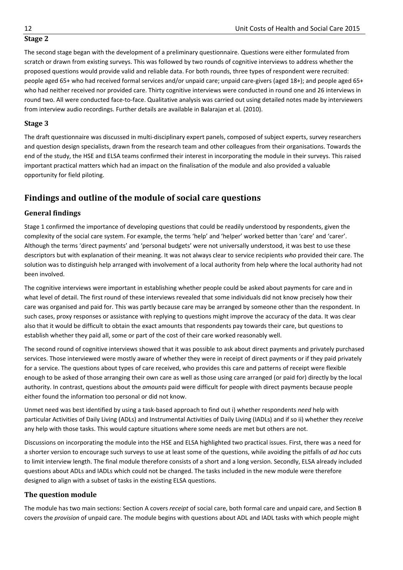#### **Stage 2**

The second stage began with the development of a preliminary questionnaire. Questions were either formulated from scratch or drawn from existing surveys. This was followed by two rounds of cognitive interviews to address whether the proposed questions would provide valid and reliable data. For both rounds, three types of respondent were recruited: people aged 65+ who had received formal services and/or unpaid care; unpaid care-givers (aged 18+); and people aged 65+ who had neither received nor provided care. Thirty cognitive interviews were conducted in round one and 26 interviews in round two. All were conducted face-to-face. Qualitative analysis was carried out using detailed notes made by interviewers from interview audio recordings. Further details are available in Balarajan et al. (2010).

#### **Stage 3**

The draft questionnaire was discussed in multi-disciplinary expert panels, composed of subject experts, survey researchers and question design specialists, drawn from the research team and other colleagues from their organisations. Towards the end of the study, the HSE and ELSA teams confirmed their interest in incorporating the module in their surveys. This raised important practical matters which had an impact on the finalisation of the module and also provided a valuable opportunity for field piloting.

### **Findings and outline of the module of social care questions**

#### **General findings**

Stage 1 confirmed the importance of developing questions that could be readily understood by respondents, given the complexity of the social care system. For example, the terms 'help' and 'helper' worked better than 'care' and 'carer'. Although the terms 'direct payments' and 'personal budgets' were not universally understood, it was best to use these descriptors but with explanation of their meaning. It was not always clear to service recipients *who* provided their care. The solution was to distinguish help arranged with involvement of a local authority from help where the local authority had not been involved.

The cognitive interviews were important in establishing whether people could be asked about payments for care and in what level of detail. The first round of these interviews revealed that some individuals did not know precisely how their care was organised and paid for. This was partly because care may be arranged by someone other than the respondent. In such cases, proxy responses or assistance with replying to questions might improve the accuracy of the data. It was clear also that it would be difficult to obtain the exact amounts that respondents pay towards their care, but questions to establish whether they paid all, some or part of the cost of their care worked reasonably well.

The second round of cognitive interviews showed that it was possible to ask about direct payments and privately purchased services. Those interviewed were mostly aware of whether they were in receipt of direct payments or if they paid privately for a service. The questions about types of care received, who provides this care and patterns of receipt were flexible enough to be asked of those arranging their own care as well as those using care arranged (or paid for) directly by the local authority. In contrast, questions about the *amounts* paid were difficult for people with direct payments because people either found the information too personal or did not know.

Unmet need was best identified by using a task-based approach to find out i) whether respondents *need* help with particular Activities of Daily Living (ADLs) and Instrumental Activities of Daily Living (IADLs) and if so ii) whether they *receive* any help with those tasks. This would capture situations where some needs are met but others are not.

Discussions on incorporating the module into the HSE and ELSA highlighted two practical issues. First, there was a need for a shorter version to encourage such surveys to use at least some of the questions, while avoiding the pitfalls of *ad hoc* cuts to limit interview length. The final module therefore consists of a short and a long version. Secondly, ELSA already included questions about ADLs and IADLs which could not be changed. The tasks included in the new module were therefore designed to align with a subset of tasks in the existing ELSA questions.

#### **The question module**

The module has two main sections: Section A covers *receipt* of social care, both formal care and unpaid care, and Section B covers the *provision* of unpaid care. The module begins with questions about ADL and IADL tasks with which people might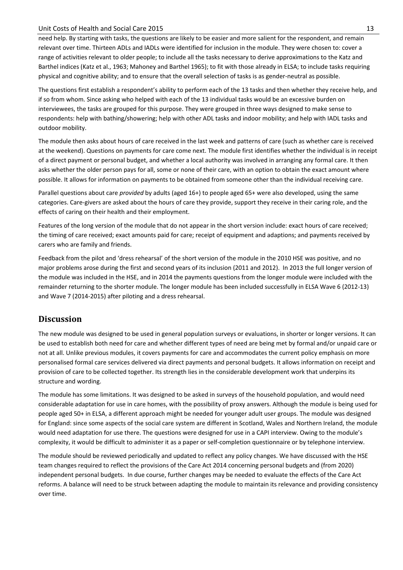#### Unit Costs of Health and Social Care 2015 13

need help. By starting with tasks, the questions are likely to be easier and more salient for the respondent, and remain relevant over time. Thirteen ADLs and IADLs were identified for inclusion in the module. They were chosen to: cover a range of activities relevant to older people; to include all the tasks necessary to derive approximations to the Katz and Barthel indices (Katz et al., 1963; Mahoney and Barthel 1965); to fit with those already in ELSA; to include tasks requiring physical and cognitive ability; and to ensure that the overall selection of tasks is as gender-neutral as possible.

The questions first establish a respondent's ability to perform each of the 13 tasks and then whether they receive help, and if so from whom. Since asking who helped with each of the 13 individual tasks would be an excessive burden on interviewees, the tasks are grouped for this purpose. They were grouped in three ways designed to make sense to respondents: help with bathing/showering; help with other ADL tasks and indoor mobility; and help with IADL tasks and outdoor mobility.

The module then asks about hours of care received in the last week and patterns of care (such as whether care is received at the weekend). Questions on payments for care come next. The module first identifies whether the individual is in receipt of a direct payment or personal budget, and whether a local authority was involved in arranging any formal care. It then asks whether the older person pays for all, some or none of their care, with an option to obtain the exact amount where possible. It allows for information on payments to be obtained from someone other than the individual receiving care.

Parallel questions about care *provided* by adults (aged 16+) to people aged 65+ were also developed, using the same categories. Care-givers are asked about the hours of care they provide, support they receive in their caring role, and the effects of caring on their health and their employment.

Features of the long version of the module that do not appear in the short version include: exact hours of care received; the timing of care received; exact amounts paid for care; receipt of equipment and adaptions; and payments received by carers who are family and friends.

Feedback from the pilot and 'dress rehearsal' of the short version of the module in the 2010 HSE was positive, and no major problems arose during the first and second years of its inclusion (2011 and 2012). In 2013 the full longer version of the module was included in the HSE, and in 2014 the payments questions from the longer module were included with the remainder returning to the shorter module. The longer module has been included successfully in ELSA Wave 6 (2012-13) and Wave 7 (2014-2015) after piloting and a dress rehearsal.

#### **Discussion**

The new module was designed to be used in general population surveys or evaluations, in shorter or longer versions. It can be used to establish both need for care and whether different types of need are being met by formal and/or unpaid care or not at all. Unlike previous modules, it covers payments for care and accommodates the current policy emphasis on more personalised formal care services delivered via direct payments and personal budgets. It allows information on receipt and provision of care to be collected together. Its strength lies in the considerable development work that underpins its structure and wording.

The module has some limitations. It was designed to be asked in surveys of the household population, and would need considerable adaptation for use in care homes, with the possibility of proxy answers. Although the module is being used for people aged 50+ in ELSA, a different approach might be needed for younger adult user groups. The module was designed for England: since some aspects of the social care system are different in Scotland, Wales and Northern Ireland, the module would need adaptation for use there. The questions were designed for use in a CAPI interview. Owing to the module's complexity, it would be difficult to administer it as a paper or self-completion questionnaire or by telephone interview.

The module should be reviewed periodically and updated to reflect any policy changes. We have discussed with the HSE team changes required to reflect the provisions of the Care Act 2014 concerning personal budgets and (from 2020) independent personal budgets. In due course, further changes may be needed to evaluate the effects of the Care Act reforms. A balance will need to be struck between adapting the module to maintain its relevance and providing consistency over time.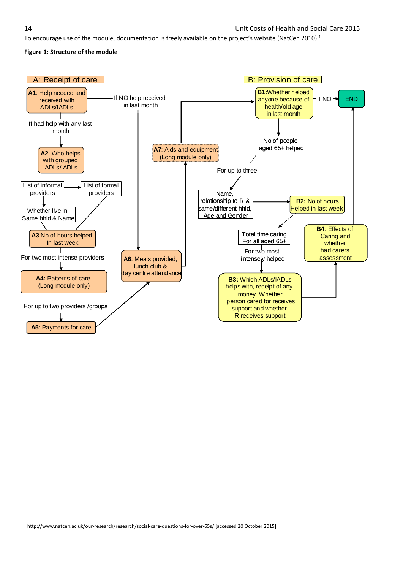To encourage use of the module, documentation is freely available on the project's website (NatCen 2010).<sup>1</sup>

#### **Figure 1: Structure of the module**